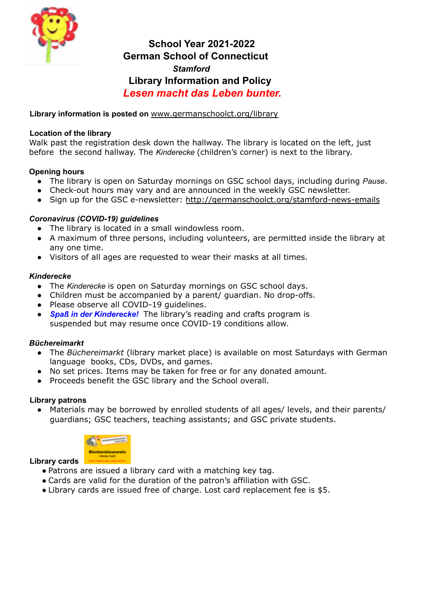

# **School Year 2021-2022 German School of Connecticut** *Stamford* **Library Information and Policy** *Lesen macht das Leben bunter.*

# **Library information is posted on** www.germanschoolct.org/library

### **Location of the library**

Walk past the registration desk down the hallway. The library is located on the left, just before the second hallway. The *Kinderecke* (children's corner) is next to the library.

### **Opening hours**

- The library is open on Saturday mornings on GSC school days, including during *Pause*.
- Check-out hours may vary and are announced in the weekly GSC newsletter.
- Sign up for the GSC e-newsletter: http://germanschoolct.org/stamford-news-emails

### *Coronavirus (COVID-19) guidelines*

- The library is located in a small windowless room.
- A maximum of three persons, including volunteers, are permitted inside the library at any one time.
- Visitors of all ages are requested to wear their masks at all times.

### *Kinderecke*

- The *Kinderecke* is open on Saturday mornings on GSC school days.
- Children must be accompanied by a parent/ quardian. No drop-offs.
- Please observe all COVID-19 guidelines.
- *Spaß in der Kinderecke!* The library's reading and crafts program is suspended but may resume once COVID-19 conditions allow.

# *Büchereimarkt*

- The *Büchereimarkt* (library market place) is available on most Saturdays with German language books, CDs, DVDs, and games.
- No set prices. Items may be taken for free or for any donated amount.
- Proceeds benefit the GSC library and the School overall.

### **Library patrons**

Materials may be borrowed by enrolled students of all ages/ levels, and their parents/ guardians; GSC teachers, teaching assistants; and GSC private students.



### **Library cards**

- Patrons are issued a library card with a matching key tag.
- Cards are valid for the duration of the patron's affiliation with GSC.
- Library cards are issued free of charge. Lost card replacement fee is \$5.